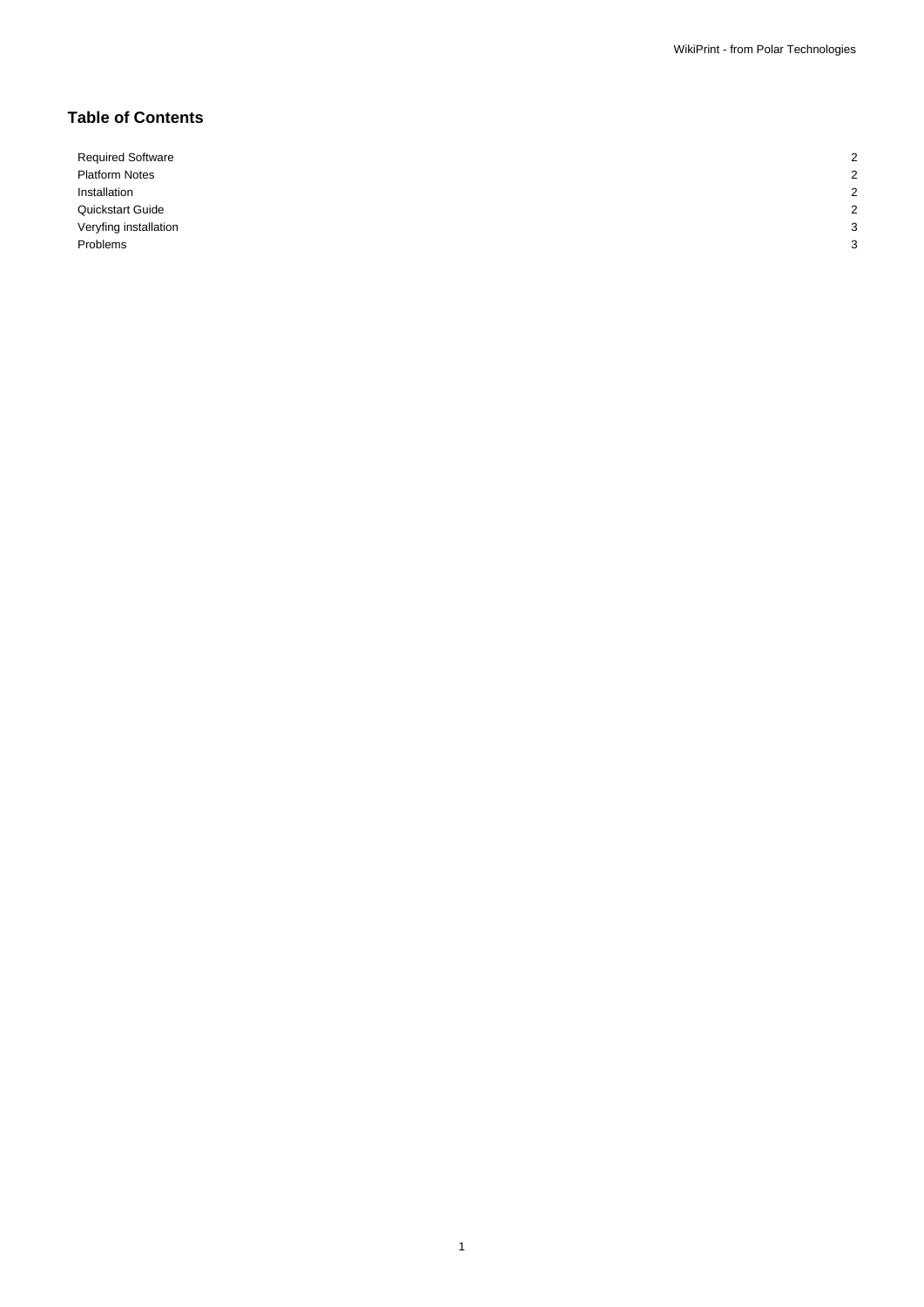# **Table of Contents**

Required Software 2008 Platform Notes 2 Installation 2 Quickstart Guide 2 Veryfing installation 3 Problems 3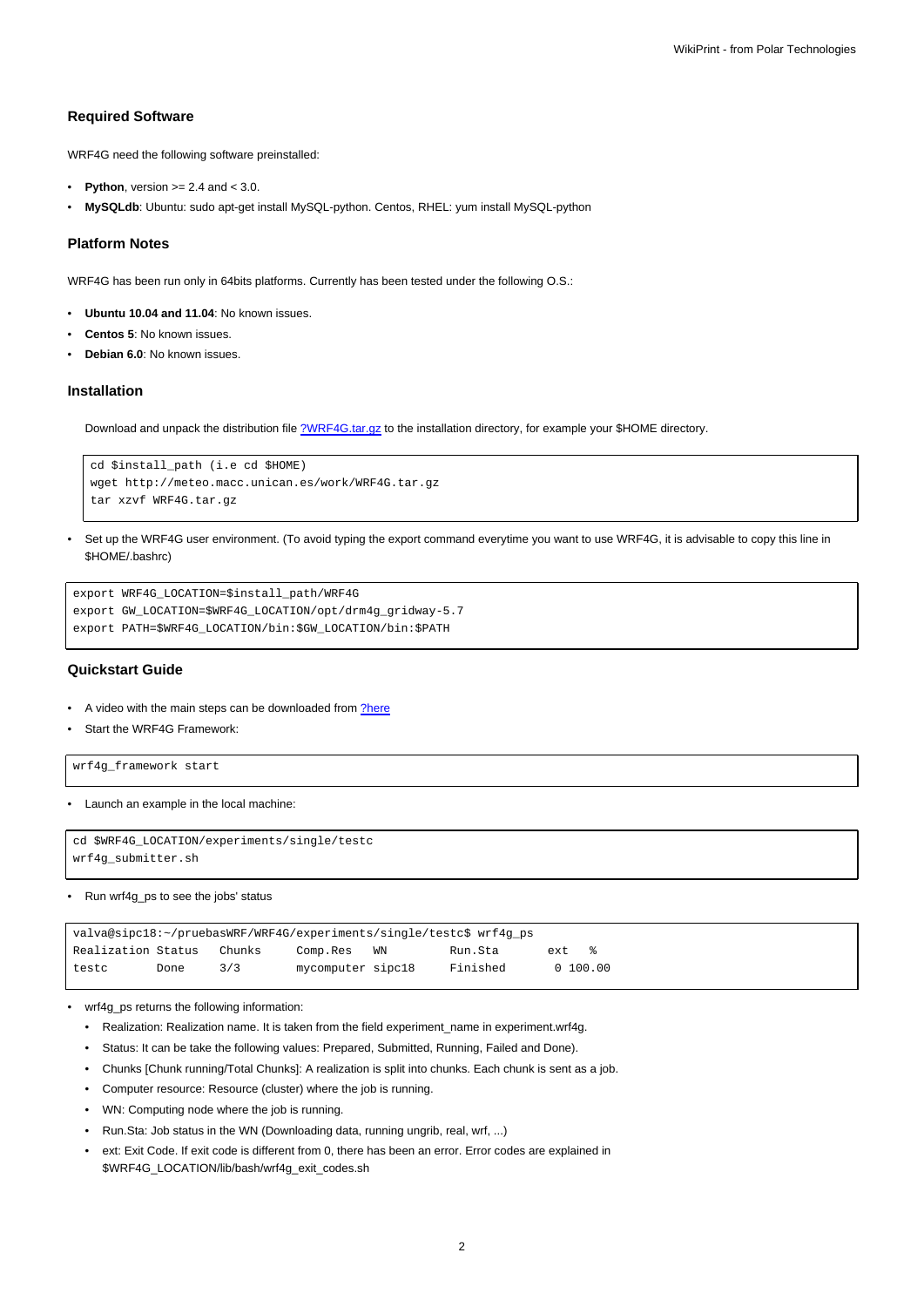# **Required Software**

WRF4G need the following software preinstalled:

- **Python**, version  $>= 2.4$  and  $< 3.0$ .
- **MySQLdb**: Ubuntu: sudo apt-get install MySQL-python. Centos, RHEL: yum install MySQL-python

### **Platform Notes**

WRF4G has been run only in 64bits platforms. Currently has been tested under the following O.S.:

- **Ubuntu 10.04 and 11.04**: No known issues.
- **Centos 5**: No known issues.
- **Debian 6.0**: No known issues.

### **Installation**

Download and unpack the distribution file [?WRF4G.tar.gz](http://meteo.macc.unican.es/work/WRF4G.tar.gz) to the installation directory, for example your \$HOME directory.

```
cd $install_path (i.e cd $HOME)
wget http://meteo.macc.unican.es/work/WRF4G.tar.gz
tar xzvf WRF4G.tar.gz
```
• Set up the WRF4G user environment. (To avoid typing the export command everytime you want to use WRF4G, it is advisable to copy this line in \$HOME/.bashrc)

```
export WRF4G_LOCATION=$install_path/WRF4G
export GW_LOCATION=$WRF4G_LOCATION/opt/drm4g_gridway-5.7
export PATH=$WRF4G_LOCATION/bin:$GW_LOCATION/bin:$PATH
```
# **Quickstart Guide**

- A video with the main steps can be downloaded from [?here](http://meteo.macc.unican.es/work/WRF4Gdemo.mpeg)
- Start the WRF4G Framework:

wrf4g\_framework start

• Launch an example in the local machine:

```
cd $WRF4G_LOCATION/experiments/single/testc
wrf4g_submitter.sh
```
#### • Run wrf4g\_ps to see the jobs' status

| valva@sipc18:~/pruebasWRF/WRF4G/experiments/single/testc\$ wrf4g_ps |      |        |                   |    |          |      |            |  |  |
|---------------------------------------------------------------------|------|--------|-------------------|----|----------|------|------------|--|--|
| Realization Status                                                  |      | Chunks | Comp.Res          | WN | Run.Sta  | ext. | $\approx$  |  |  |
| testc                                                               | Done | 3/3    | mycomputer sipc18 |    | Finished |      | 0, 100, 00 |  |  |

- wrf4g\_ps returns the following information:
	- Realization: Realization name. It is taken from the field experiment\_name in experiment.wrf4g.
	- Status: It can be take the following values: Prepared, Submitted, Running, Failed and Done).
	- Chunks [Chunk running/Total Chunks]: A realization is split into chunks. Each chunk is sent as a job.
	- Computer resource: Resource (cluster) where the job is running.
	- WN: Computing node where the job is running.
	- Run.Sta: Job status in the WN (Downloading data, running ungrib, real, wrf, ...)
	- ext: Exit Code. If exit code is different from 0, there has been an error. Error codes are explained in \$WRF4G\_LOCATION/lib/bash/wrf4g\_exit\_codes.sh